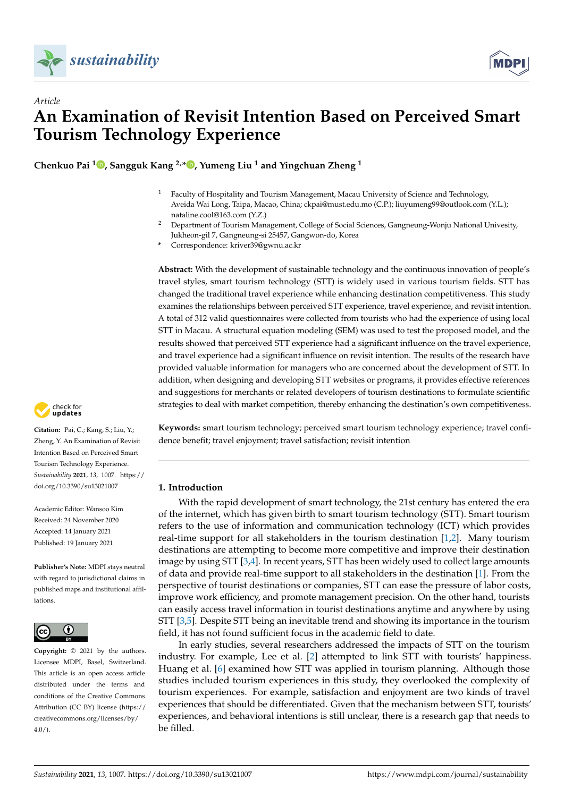



**Chenkuo Pai <sup>1</sup> [,](https://orcid.org/0000-0001-9732-5626) Sangguk Kang 2,\* [,](https://orcid.org/0000-0003-0462-7612) Yumeng Liu <sup>1</sup> and Yingchuan Zheng <sup>1</sup>**

- <sup>1</sup> Faculty of Hospitality and Tourism Management, Macau University of Science and Technology, Aveida Wai Long, Taipa, Macao, China; ckpai@must.edu.mo (C.P.); liuyumeng99@outlook.com (Y.L.); nataline.cool@163.com (Y.Z.)
- <sup>2</sup> Department of Tourism Management, College of Social Sciences, Gangneung-Wonju National Univesity, Jukheon-gil 7, Gangneung-si 25457, Gangwon-do, Korea
- **\*** Correspondence: kriver39@gwnu.ac.kr

**Abstract:** With the development of sustainable technology and the continuous innovation of people's travel styles, smart tourism technology (STT) is widely used in various tourism fields. STT has changed the traditional travel experience while enhancing destination competitiveness. This study examines the relationships between perceived STT experience, travel experience, and revisit intention. A total of 312 valid questionnaires were collected from tourists who had the experience of using local STT in Macau. A structural equation modeling (SEM) was used to test the proposed model, and the results showed that perceived STT experience had a significant influence on the travel experience, and travel experience had a significant influence on revisit intention. The results of the research have provided valuable information for managers who are concerned about the development of STT. In addition, when designing and developing STT websites or programs, it provides effective references and suggestions for merchants or related developers of tourism destinations to formulate scientific strategies to deal with market competition, thereby enhancing the destination's own competitiveness.



**Citation:** Pai, C.; Kang, S.; Liu, Y.; Zheng, Y. An Examination of Revisit Intention Based on Perceived Smart Tourism Technology Experience. *Sustainability* **2021**, *13*, 1007. [https://](https://doi.org/10.3390/su13021007) [doi.org/10.3390/su13021007](https://doi.org/10.3390/su13021007)

Academic Editor: Wansoo Kim Received: 24 November 2020 Accepted: 14 January 2021 Published: 19 January 2021

**Publisher's Note:** MDPI stays neutral with regard to jurisdictional claims in published maps and institutional affiliations.



**Copyright:** © 2021 by the authors. Licensee MDPI, Basel, Switzerland. This article is an open access article distributed under the terms and conditions of the Creative Commons Attribution (CC BY) license (https:/[/](https://creativecommons.org/licenses/by/4.0/) [creativecommons.org/licenses/by/](https://creativecommons.org/licenses/by/4.0/)  $4.0/$ ).

**Keywords:** smart tourism technology; perceived smart tourism technology experience; travel confidence benefit; travel enjoyment; travel satisfaction; revisit intention

# **1. Introduction**

With the rapid development of smart technology, the 21st century has entered the era of the internet, which has given birth to smart tourism technology (STT). Smart tourism refers to the use of information and communication technology (ICT) which provides real-time support for all stakeholders in the tourism destination [\[1,](#page-11-0)[2\]](#page-11-1). Many tourism destinations are attempting to become more competitive and improve their destination image by using STT [\[3](#page-11-2)[,4\]](#page-11-3). In recent years, STT has been widely used to collect large amounts of data and provide real-time support to all stakeholders in the destination [\[1\]](#page-11-0). From the perspective of tourist destinations or companies, STT can ease the pressure of labor costs, improve work efficiency, and promote management precision. On the other hand, tourists can easily access travel information in tourist destinations anytime and anywhere by using STT [\[3](#page-11-2)[,5\]](#page-11-4). Despite STT being an inevitable trend and showing its importance in the tourism field, it has not found sufficient focus in the academic field to date.

In early studies, several researchers addressed the impacts of STT on the tourism industry. For example, Lee et al. [\[2\]](#page-11-1) attempted to link STT with tourists' happiness. Huang et al. [\[6\]](#page-11-5) examined how STT was applied in tourism planning. Although those studies included tourism experiences in this study, they overlooked the complexity of tourism experiences. For example, satisfaction and enjoyment are two kinds of travel experiences that should be differentiated. Given that the mechanism between STT, tourists' experiences, and behavioral intentions is still unclear, there is a research gap that needs to be filled.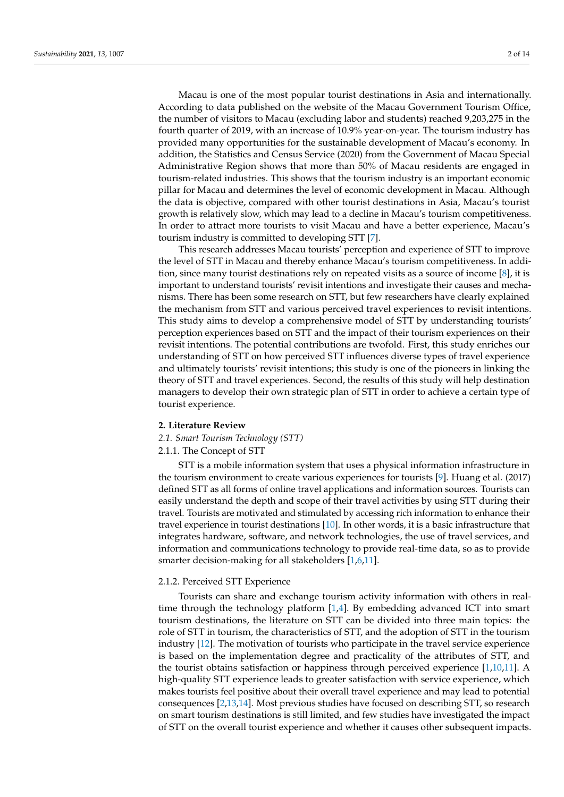Macau is one of the most popular tourist destinations in Asia and internationally. According to data published on the website of the Macau Government Tourism Office, the number of visitors to Macau (excluding labor and students) reached 9,203,275 in the fourth quarter of 2019, with an increase of 10.9% year-on-year. The tourism industry has provided many opportunities for the sustainable development of Macau's economy. In addition, the Statistics and Census Service (2020) from the Government of Macau Special Administrative Region shows that more than 50% of Macau residents are engaged in tourism-related industries. This shows that the tourism industry is an important economic pillar for Macau and determines the level of economic development in Macau. Although the data is objective, compared with other tourist destinations in Asia, Macau's tourist growth is relatively slow, which may lead to a decline in Macau's tourism competitiveness. In order to attract more tourists to visit Macau and have a better experience, Macau's tourism industry is committed to developing STT [\[7\]](#page-11-6).

This research addresses Macau tourists' perception and experience of STT to improve the level of STT in Macau and thereby enhance Macau's tourism competitiveness. In addition, since many tourist destinations rely on repeated visits as a source of income [\[8\]](#page-11-7), it is important to understand tourists' revisit intentions and investigate their causes and mechanisms. There has been some research on STT, but few researchers have clearly explained the mechanism from STT and various perceived travel experiences to revisit intentions. This study aims to develop a comprehensive model of STT by understanding tourists' perception experiences based on STT and the impact of their tourism experiences on their revisit intentions. The potential contributions are twofold. First, this study enriches our understanding of STT on how perceived STT influences diverse types of travel experience and ultimately tourists' revisit intentions; this study is one of the pioneers in linking the theory of STT and travel experiences. Second, the results of this study will help destination managers to develop their own strategic plan of STT in order to achieve a certain type of tourist experience.

#### **2. Literature Review**

#### *2.1. Smart Tourism Technology (STT)*

### 2.1.1. The Concept of STT

STT is a mobile information system that uses a physical information infrastructure in the tourism environment to create various experiences for tourists [\[9\]](#page-11-8). Huang et al. (2017) defined STT as all forms of online travel applications and information sources. Tourists can easily understand the depth and scope of their travel activities by using STT during their travel. Tourists are motivated and stimulated by accessing rich information to enhance their travel experience in tourist destinations [\[10\]](#page-12-0). In other words, it is a basic infrastructure that integrates hardware, software, and network technologies, the use of travel services, and information and communications technology to provide real-time data, so as to provide smarter decision-making for all stakeholders [\[1](#page-11-0)[,6,](#page-11-5)[11\]](#page-12-1).

#### 2.1.2. Perceived STT Experience

Tourists can share and exchange tourism activity information with others in realtime through the technology platform [\[1,](#page-11-0)[4\]](#page-11-3). By embedding advanced ICT into smart tourism destinations, the literature on STT can be divided into three main topics: the role of STT in tourism, the characteristics of STT, and the adoption of STT in the tourism industry [\[12\]](#page-12-2). The motivation of tourists who participate in the travel service experience is based on the implementation degree and practicality of the attributes of STT, and the tourist obtains satisfaction or happiness through perceived experience [\[1](#page-11-0)[,10](#page-12-0)[,11\]](#page-12-1). A high-quality STT experience leads to greater satisfaction with service experience, which makes tourists feel positive about their overall travel experience and may lead to potential consequences [\[2,](#page-11-1)[13,](#page-12-3)[14\]](#page-12-4). Most previous studies have focused on describing STT, so research on smart tourism destinations is still limited, and few studies have investigated the impact of STT on the overall tourist experience and whether it causes other subsequent impacts.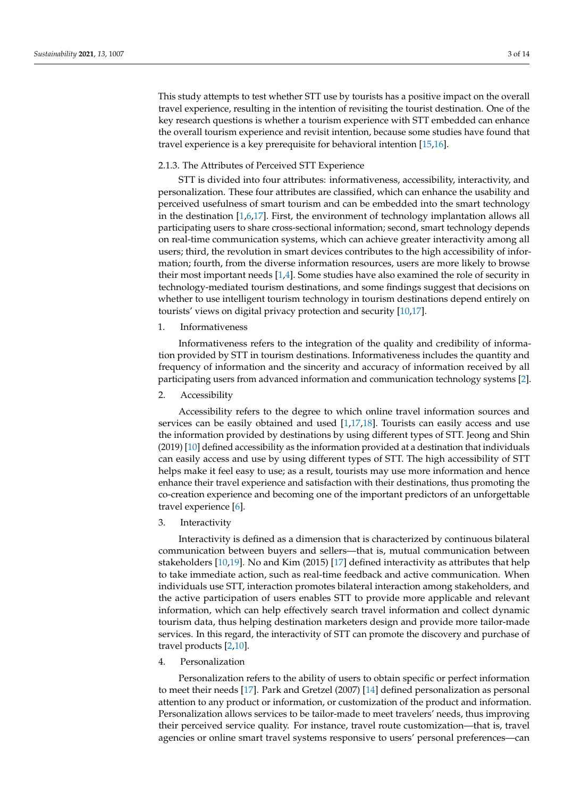This study attempts to test whether STT use by tourists has a positive impact on the overall travel experience, resulting in the intention of revisiting the tourist destination. One of the key research questions is whether a tourism experience with STT embedded can enhance the overall tourism experience and revisit intention, because some studies have found that travel experience is a key prerequisite for behavioral intention [\[15](#page-12-5)[,16\]](#page-12-6).

## 2.1.3. The Attributes of Perceived STT Experience

STT is divided into four attributes: informativeness, accessibility, interactivity, and personalization. These four attributes are classified, which can enhance the usability and perceived usefulness of smart tourism and can be embedded into the smart technology in the destination [\[1](#page-11-0)[,6](#page-11-5)[,17\]](#page-12-7). First, the environment of technology implantation allows all participating users to share cross-sectional information; second, smart technology depends on real-time communication systems, which can achieve greater interactivity among all users; third, the revolution in smart devices contributes to the high accessibility of information; fourth, from the diverse information resources, users are more likely to browse their most important needs [\[1,](#page-11-0)[4\]](#page-11-3). Some studies have also examined the role of security in technology-mediated tourism destinations, and some findings suggest that decisions on whether to use intelligent tourism technology in tourism destinations depend entirely on tourists' views on digital privacy protection and security [\[10](#page-12-0)[,17\]](#page-12-7).

1. Informativeness

Informativeness refers to the integration of the quality and credibility of information provided by STT in tourism destinations. Informativeness includes the quantity and frequency of information and the sincerity and accuracy of information received by all participating users from advanced information and communication technology systems [\[2\]](#page-11-1).

2. Accessibility

Accessibility refers to the degree to which online travel information sources and services can be easily obtained and used  $[1,17,18]$  $[1,17,18]$  $[1,17,18]$ . Tourists can easily access and use the information provided by destinations by using different types of STT. Jeong and Shin (2019) [\[10\]](#page-12-0) defined accessibility as the information provided at a destination that individuals can easily access and use by using different types of STT. The high accessibility of STT helps make it feel easy to use; as a result, tourists may use more information and hence enhance their travel experience and satisfaction with their destinations, thus promoting the co-creation experience and becoming one of the important predictors of an unforgettable travel experience [\[6\]](#page-11-5).

3. Interactivity

Interactivity is defined as a dimension that is characterized by continuous bilateral communication between buyers and sellers—that is, mutual communication between stakeholders [\[10,](#page-12-0)[19\]](#page-12-9). No and Kim (2015) [\[17\]](#page-12-7) defined interactivity as attributes that help to take immediate action, such as real-time feedback and active communication. When individuals use STT, interaction promotes bilateral interaction among stakeholders, and the active participation of users enables STT to provide more applicable and relevant information, which can help effectively search travel information and collect dynamic tourism data, thus helping destination marketers design and provide more tailor-made services. In this regard, the interactivity of STT can promote the discovery and purchase of travel products [\[2,](#page-11-1)[10\]](#page-12-0).

# 4. Personalization

Personalization refers to the ability of users to obtain specific or perfect information to meet their needs [\[17\]](#page-12-7). Park and Gretzel (2007) [\[14\]](#page-12-4) defined personalization as personal attention to any product or information, or customization of the product and information. Personalization allows services to be tailor-made to meet travelers' needs, thus improving their perceived service quality. For instance, travel route customization—that is, travel agencies or online smart travel systems responsive to users' personal preferences—can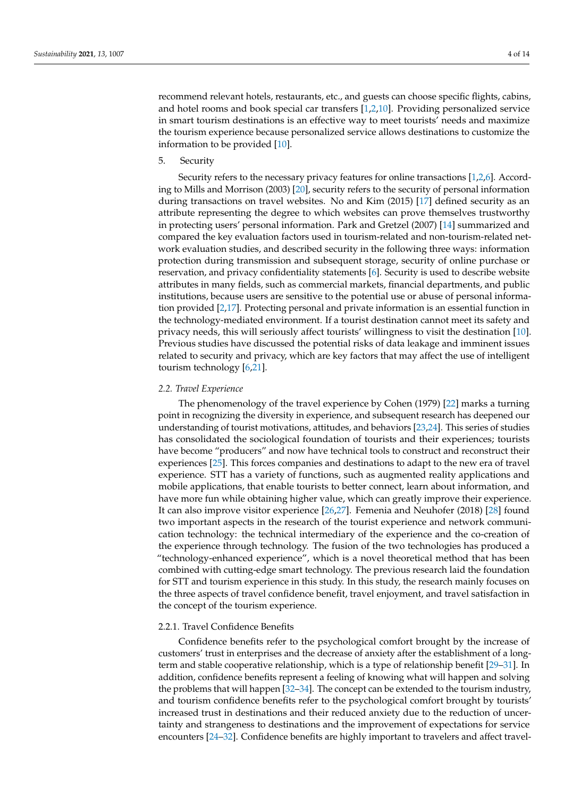recommend relevant hotels, restaurants, etc., and guests can choose specific flights, cabins, and hotel rooms and book special car transfers [\[1](#page-11-0)[,2,](#page-11-1)[10\]](#page-12-0). Providing personalized service in smart tourism destinations is an effective way to meet tourists' needs and maximize the tourism experience because personalized service allows destinations to customize the information to be provided [\[10\]](#page-12-0).

5. Security

Security refers to the necessary privacy features for online transactions [\[1](#page-11-0)[,2,](#page-11-1)[6\]](#page-11-5). According to Mills and Morrison (2003) [\[20\]](#page-12-10), security refers to the security of personal information during transactions on travel websites. No and Kim (2015) [\[17\]](#page-12-7) defined security as an attribute representing the degree to which websites can prove themselves trustworthy in protecting users' personal information. Park and Gretzel (2007) [\[14\]](#page-12-4) summarized and compared the key evaluation factors used in tourism-related and non-tourism-related network evaluation studies, and described security in the following three ways: information protection during transmission and subsequent storage, security of online purchase or reservation, and privacy confidentiality statements [\[6\]](#page-11-5). Security is used to describe website attributes in many fields, such as commercial markets, financial departments, and public institutions, because users are sensitive to the potential use or abuse of personal information provided [\[2,](#page-11-1)[17\]](#page-12-7). Protecting personal and private information is an essential function in the technology-mediated environment. If a tourist destination cannot meet its safety and privacy needs, this will seriously affect tourists' willingness to visit the destination [\[10\]](#page-12-0). Previous studies have discussed the potential risks of data leakage and imminent issues related to security and privacy, which are key factors that may affect the use of intelligent tourism technology [\[6](#page-11-5)[,21\]](#page-12-11).

### *2.2. Travel Experience*

The phenomenology of the travel experience by Cohen (1979) [\[22\]](#page-12-12) marks a turning point in recognizing the diversity in experience, and subsequent research has deepened our understanding of tourist motivations, attitudes, and behaviors [\[23](#page-12-13)[,24\]](#page-12-14). This series of studies has consolidated the sociological foundation of tourists and their experiences; tourists have become "producers" and now have technical tools to construct and reconstruct their experiences [\[25\]](#page-12-15). This forces companies and destinations to adapt to the new era of travel experience. STT has a variety of functions, such as augmented reality applications and mobile applications, that enable tourists to better connect, learn about information, and have more fun while obtaining higher value, which can greatly improve their experience. It can also improve visitor experience [\[26](#page-12-16)[,27\]](#page-12-17). Femenia and Neuhofer (2018) [\[28\]](#page-12-18) found two important aspects in the research of the tourist experience and network communication technology: the technical intermediary of the experience and the co-creation of the experience through technology. The fusion of the two technologies has produced a "technology-enhanced experience", which is a novel theoretical method that has been combined with cutting-edge smart technology. The previous research laid the foundation for STT and tourism experience in this study. In this study, the research mainly focuses on the three aspects of travel confidence benefit, travel enjoyment, and travel satisfaction in the concept of the tourism experience.

## 2.2.1. Travel Confidence Benefits

Confidence benefits refer to the psychological comfort brought by the increase of customers' trust in enterprises and the decrease of anxiety after the establishment of a longterm and stable cooperative relationship, which is a type of relationship benefit [\[29](#page-12-19)[–31\]](#page-12-20). In addition, confidence benefits represent a feeling of knowing what will happen and solving the problems that will happen [\[32](#page-12-21)[–34\]](#page-12-22). The concept can be extended to the tourism industry, and tourism confidence benefits refer to the psychological comfort brought by tourists' increased trust in destinations and their reduced anxiety due to the reduction of uncertainty and strangeness to destinations and the improvement of expectations for service encounters [\[24–](#page-12-14)[32\]](#page-12-21). Confidence benefits are highly important to travelers and affect travel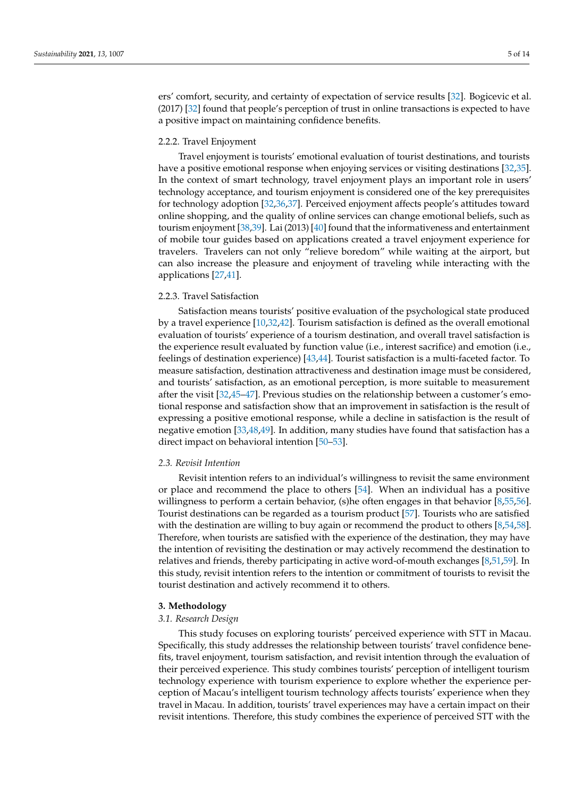ers' comfort, security, and certainty of expectation of service results [\[32\]](#page-12-21). Bogicevic et al. (2017) [\[32\]](#page-12-21) found that people's perception of trust in online transactions is expected to have a positive impact on maintaining confidence benefits.

### 2.2.2. Travel Enjoyment

Travel enjoyment is tourists' emotional evaluation of tourist destinations, and tourists have a positive emotional response when enjoying services or visiting destinations [\[32](#page-12-21)[,35\]](#page-12-23). In the context of smart technology, travel enjoyment plays an important role in users' technology acceptance, and tourism enjoyment is considered one of the key prerequisites for technology adoption [\[32](#page-12-21)[,36](#page-12-24)[,37\]](#page-12-25). Perceived enjoyment affects people's attitudes toward online shopping, and the quality of online services can change emotional beliefs, such as tourism enjoyment [\[38,](#page-12-26)[39\]](#page-12-27). Lai (2013) [\[40\]](#page-12-28) found that the informativeness and entertainment of mobile tour guides based on applications created a travel enjoyment experience for travelers. Travelers can not only "relieve boredom" while waiting at the airport, but can also increase the pleasure and enjoyment of traveling while interacting with the applications [\[27](#page-12-17)[,41\]](#page-12-29).

## 2.2.3. Travel Satisfaction

Satisfaction means tourists' positive evaluation of the psychological state produced by a travel experience [\[10](#page-12-0)[,32](#page-12-21)[,42\]](#page-13-0). Tourism satisfaction is defined as the overall emotional evaluation of tourists' experience of a tourism destination, and overall travel satisfaction is the experience result evaluated by function value (i.e., interest sacrifice) and emotion (i.e., feelings of destination experience) [\[43,](#page-13-1)[44\]](#page-13-2). Tourist satisfaction is a multi-faceted factor. To measure satisfaction, destination attractiveness and destination image must be considered, and tourists' satisfaction, as an emotional perception, is more suitable to measurement after the visit [\[32,](#page-12-21)[45](#page-13-3)[–47\]](#page-13-4). Previous studies on the relationship between a customer's emotional response and satisfaction show that an improvement in satisfaction is the result of expressing a positive emotional response, while a decline in satisfaction is the result of negative emotion [\[33](#page-12-30)[,48](#page-13-5)[,49\]](#page-13-6). In addition, many studies have found that satisfaction has a direct impact on behavioral intention [\[50](#page-13-7)[–53\]](#page-13-8).

### *2.3. Revisit Intention*

Revisit intention refers to an individual's willingness to revisit the same environment or place and recommend the place to others [\[54\]](#page-13-9). When an individual has a positive willingness to perform a certain behavior, (s)he often engages in that behavior [\[8,](#page-11-7)[55,](#page-13-10)[56\]](#page-13-11). Tourist destinations can be regarded as a tourism product [\[57\]](#page-13-12). Tourists who are satisfied with the destination are willing to buy again or recommend the product to others [\[8](#page-11-7)[,54](#page-13-9)[,58\]](#page-13-13). Therefore, when tourists are satisfied with the experience of the destination, they may have the intention of revisiting the destination or may actively recommend the destination to relatives and friends, thereby participating in active word-of-mouth exchanges [\[8,](#page-11-7)[51,](#page-13-14)[59\]](#page-13-15). In this study, revisit intention refers to the intention or commitment of tourists to revisit the tourist destination and actively recommend it to others.

## **3. Methodology**

#### *3.1. Research Design*

This study focuses on exploring tourists' perceived experience with STT in Macau. Specifically, this study addresses the relationship between tourists' travel confidence benefits, travel enjoyment, tourism satisfaction, and revisit intention through the evaluation of their perceived experience. This study combines tourists' perception of intelligent tourism technology experience with tourism experience to explore whether the experience perception of Macau's intelligent tourism technology affects tourists' experience when they travel in Macau. In addition, tourists' travel experiences may have a certain impact on their revisit intentions. Therefore, this study combines the experience of perceived STT with the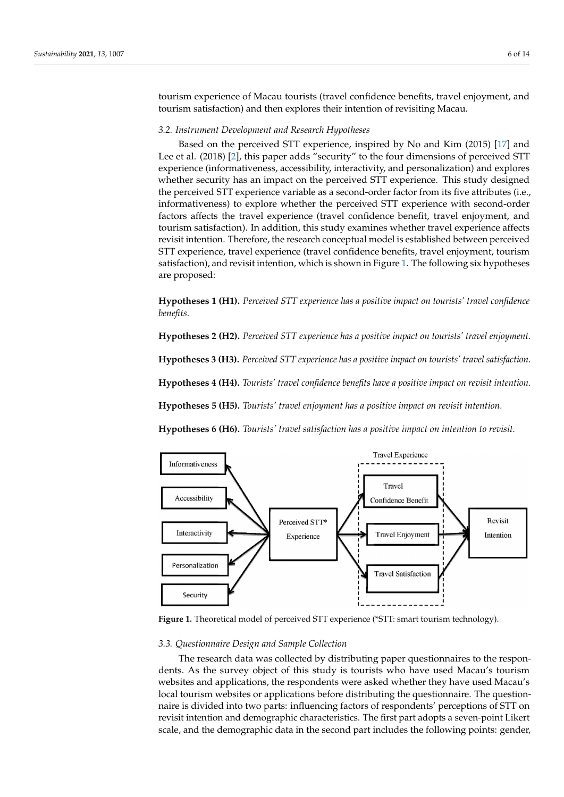tourism experience of Macau tourists (travel confidence benefits, travel enjoyment, and tourism satisfaction) and then explores their intention of revisiting Macau.

### *3.2. Instrument Development and Research Hypotheses*

Based on the perceived STT experience, inspired by No and Kim (2015) [\[17\]](#page-12-7) and Lee et al. (2018) [\[2\]](#page-11-1), this paper adds "security" to the four dimensions of perceived STT experience (informativeness, accessibility, interactivity, and personalization) and explores whether security has an impact on the perceived STT experience. This study designed the perceived STT experience variable as a second-order factor from its five attributes (i.e., informativeness) to explore whether the perceived STT experience with second-order factors affects the travel experience (travel confidence benefit, travel enjoyment, and tourism satisfaction). In addition, this study examines whether travel experience affects revisit intention. Therefore, the research conceptual model is established between perceived STT experience, travel experience (travel confidence benefits, travel enjoyment, tourism satisfaction), and revisit intention, which is shown in Figure [1.](#page-5-0) The following six hypotheses are proposed:

**Hypotheses 1 (H1).** *Perceived STT experience has a positive impact on tourists' travel confidence benefits.*

**Hypotheses 2 (H2).** *Perceived STT experience has a positive impact on tourists' travel enjoyment.*

**Hypotheses 3 (H3).** *Perceived STT experience has a positive impact on tourists' travel satisfaction.*

**Hypotheses 4 (H4).** *Tourists' travel confidence benefits have a positive impact on revisit intention.*

**Hypotheses 5 (H5).** *Tourists' travel enjoyment has a positive impact on revisit intention.*

**Hypotheses 6 (H6).** *Tourists' travel satisfaction has a positive impact on intention to revisit.*

<span id="page-5-0"></span>

Figure 1. Theoretical model of perceived STT experience (\*STT: smart tourism technology).

#### *3.3. Questionnaire Design and Sample Collection*

The research data was collected by distributing paper questionnaires to the respondents. As the survey object of this study is tourists who have used Macau's tourism websites and applications, the respondents were asked whether they have used Macau's local tourism websites or applications before distributing the questionnaire. The questionnaire is divided into two parts: influencing factors of respondents' perceptions of STT on revisit intention and demographic characteristics. The first part adopts a seven-point Likert scale, and the demographic data in the second part includes the following points: gender,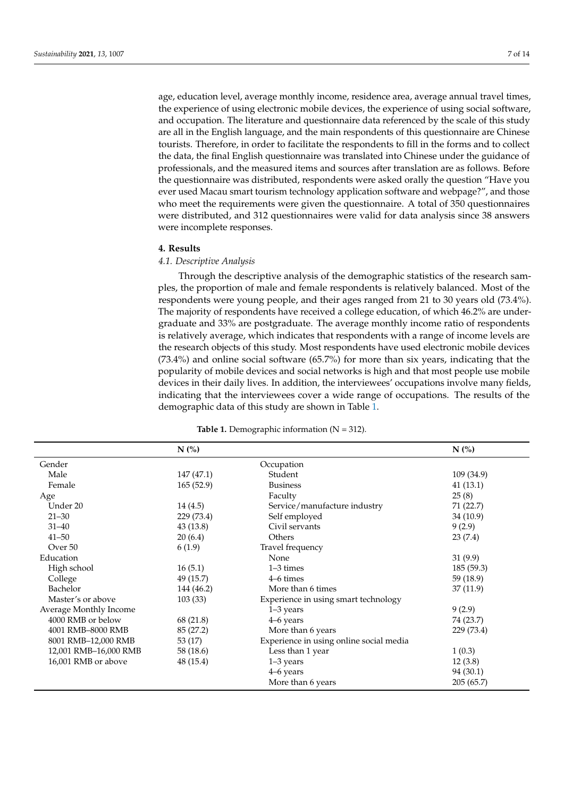age, education level, average monthly income, residence area, average annual travel times, the experience of using electronic mobile devices, the experience of using social software, and occupation. The literature and questionnaire data referenced by the scale of this study are all in the English language, and the main respondents of this questionnaire are Chinese tourists. Therefore, in order to facilitate the respondents to fill in the forms and to collect the data, the final English questionnaire was translated into Chinese under the guidance of professionals, and the measured items and sources after translation are as follows. Before the questionnaire was distributed, respondents were asked orally the question "Have you ever used Macau smart tourism technology application software and webpage?", and those who meet the requirements were given the questionnaire. A total of 350 questionnaires were distributed, and 312 questionnaires were valid for data analysis since 38 answers were incomplete responses.

## **4. Results**

# *4.1. Descriptive Analysis*

Through the descriptive analysis of the demographic statistics of the research samples, the proportion of male and female respondents is relatively balanced. Most of the respondents were young people, and their ages ranged from 21 to 30 years old (73.4%). The majority of respondents have received a college education, of which 46.2% are undergraduate and 33% are postgraduate. The average monthly income ratio of respondents is relatively average, which indicates that respondents with a range of income levels are the research objects of this study. Most respondents have used electronic mobile devices (73.4%) and online social software (65.7%) for more than six years, indicating that the popularity of mobile devices and social networks is high and that most people use mobile devices in their daily lives. In addition, the interviewees' occupations involve many fields, indicating that the interviewees cover a wide range of occupations. The results of the demographic data of this study are shown in Table [1.](#page-6-0)

<span id="page-6-0"></span>

|                        | N(%        |                                         | $N$ $\left(\frac{9}{6}\right)$ |
|------------------------|------------|-----------------------------------------|--------------------------------|
| Gender                 |            | Occupation                              |                                |
| Male                   | 147 (47.1) | Student                                 | 109 (34.9)                     |
| Female                 | 165(52.9)  | <b>Business</b>                         | 41(13.1)                       |
| Age                    |            | Faculty                                 | 25(8)                          |
| Under 20               | 14(4.5)    | Service/manufacture industry            | 71 (22.7)                      |
| $21 - 30$              | 229 (73.4) | Self employed                           | 34 (10.9)                      |
| $31 - 40$              | 43(13.8)   | Civil servants                          | 9(2.9)                         |
| $41 - 50$              | 20(6.4)    | Others                                  | 23(7.4)                        |
| Over 50                | 6(1.9)     | Travel frequency                        |                                |
| Education              |            | None                                    | 31(9.9)                        |
| High school            | 16(5.1)    | 1-3 times                               | 185 (59.3)                     |
| College                | 49 (15.7)  | 4–6 times                               | 59 (18.9)                      |
| Bachelor               | 144 (46.2) | More than 6 times                       | 37 (11.9)                      |
| Master's or above      | 103(33)    | Experience in using smart technology    |                                |
| Average Monthly Income |            | $1-3$ years                             | 9(2.9)                         |
| 4000 RMB or below      | 68 (21.8)  | 4–6 years                               | 74 (23.7)                      |
| 4001 RMB-8000 RMB      | 85 (27.2)  | More than 6 years                       | 229 (73.4)                     |
| 8001 RMB-12,000 RMB    | 53 (17)    | Experience in using online social media |                                |
| 12,001 RMB-16,000 RMB  | 58 (18.6)  | Less than 1 year                        | 1(0.3)                         |
| 16,001 RMB or above    | 48 (15.4)  | $1-3$ years                             | 12(3.8)                        |
|                        |            | 4–6 years                               | 94 (30.1)                      |
|                        |            | More than 6 years                       | 205(65.7)                      |

**Table 1.** Demographic information (N = 312).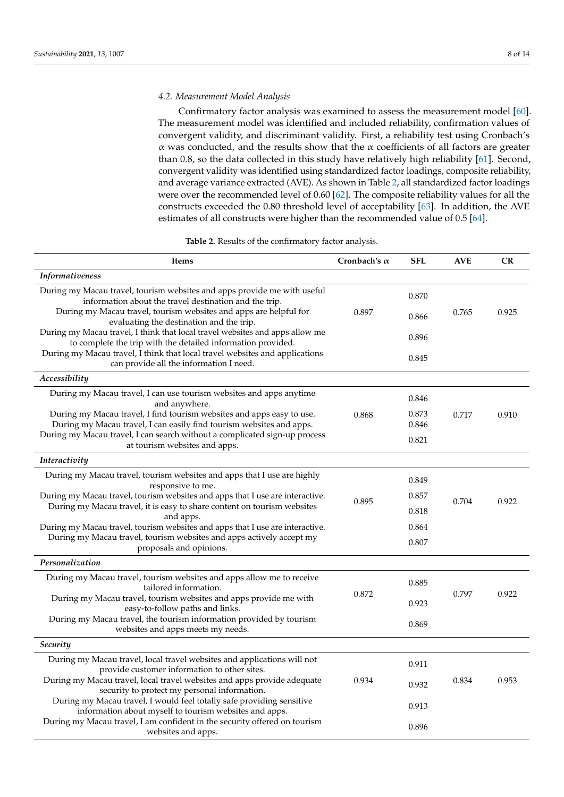# *4.2. Measurement Model Analysis*

Confirmatory factor analysis was examined to assess the measurement model [\[60\]](#page-13-16). The measurement model was identified and included reliability, confirmation values of convergent validity, and discriminant validity. First, a reliability test using Cronbach's α was conducted, and the results show that the α coefficients of all factors are greater than 0.8, so the data collected in this study have relatively high reliability [\[61\]](#page-13-17). Second, convergent validity was identified using standardized factor loadings, composite reliability, and average variance extracted (AVE). As shown in Table [2,](#page-7-0) all standardized factor loadings were over the recommended level of 0.60 [\[62\]](#page-13-18). The composite reliability values for all the constructs exceeded the 0.80 threshold level of acceptability [\[63\]](#page-13-19). In addition, the AVE estimates of all constructs were higher than the recommended value of 0.5 [\[64\]](#page-13-20).

**Table 2.** Results of the confirmatory factor analysis.

<span id="page-7-0"></span>

| <b>Items</b>                                                                                                                                  | Cronbach's $\alpha$ | <b>SFL</b>     | <b>AVE</b> | CR    |
|-----------------------------------------------------------------------------------------------------------------------------------------------|---------------------|----------------|------------|-------|
| <i>Informativeness</i>                                                                                                                        |                     |                |            |       |
| During my Macau travel, tourism websites and apps provide me with useful<br>information about the travel destination and the trip.            |                     | 0.870          |            |       |
| During my Macau travel, tourism websites and apps are helpful for<br>evaluating the destination and the trip.                                 | 0.897               | 0.866          | 0.765      | 0.925 |
| During my Macau travel, I think that local travel websites and apps allow me<br>to complete the trip with the detailed information provided.  |                     | 0.896          |            |       |
| During my Macau travel, I think that local travel websites and applications<br>can provide all the information I need.                        |                     | 0.845          |            |       |
| Accessibility                                                                                                                                 |                     |                |            |       |
| During my Macau travel, I can use tourism websites and apps anytime<br>and anywhere.                                                          |                     | 0.846          |            |       |
| During my Macau travel, I find tourism websites and apps easy to use.<br>During my Macau travel, I can easily find tourism websites and apps. | 0.868               | 0.873<br>0.846 | 0.717      | 0.910 |
| During my Macau travel, I can search without a complicated sign-up process<br>at tourism websites and apps.                                   |                     | 0.821          |            |       |
| Interactivity                                                                                                                                 |                     |                |            |       |
| During my Macau travel, tourism websites and apps that I use are highly<br>responsive to me.                                                  |                     | 0.849          |            |       |
| During my Macau travel, tourism websites and apps that I use are interactive.                                                                 | 0.895               | 0.857          | 0.704      | 0.922 |
| During my Macau travel, it is easy to share content on tourism websites<br>and apps.                                                          |                     | 0.818          |            |       |
| During my Macau travel, tourism websites and apps that I use are interactive.                                                                 |                     | 0.864          |            |       |
| During my Macau travel, tourism websites and apps actively accept my<br>proposals and opinions.                                               |                     | 0.807          |            |       |
| Personalization                                                                                                                               |                     |                |            |       |
| During my Macau travel, tourism websites and apps allow me to receive<br>tailored information.                                                |                     | 0.885          |            |       |
| During my Macau travel, tourism websites and apps provide me with<br>easy-to-follow paths and links.                                          | 0.872               | 0.923          | 0.797      | 0.922 |
| During my Macau travel, the tourism information provided by tourism<br>websites and apps meets my needs.                                      |                     | 0.869          |            |       |
| Security                                                                                                                                      |                     |                |            |       |
| During my Macau travel, local travel websites and applications will not<br>provide customer information to other sites.                       |                     | 0.911          |            |       |
| During my Macau travel, local travel websites and apps provide adequate<br>security to protect my personal information.                       | 0.934               | 0.932          | 0.834      | 0.953 |
| During my Macau travel, I would feel totally safe providing sensitive<br>information about myself to tourism websites and apps.               |                     | 0.913          |            |       |
| During my Macau travel, I am confident in the security offered on tourism<br>websites and apps.                                               |                     | 0.896          |            |       |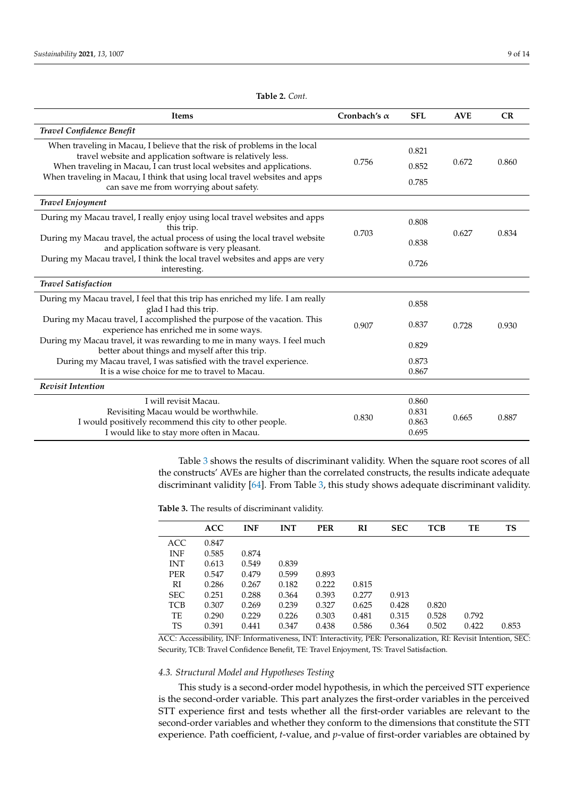| <b>Items</b>                                                                                                                             | Cronbach's $\alpha$ | <b>SFL</b> | <b>AVE</b> | CR    |
|------------------------------------------------------------------------------------------------------------------------------------------|---------------------|------------|------------|-------|
| Travel Confidence Benefit                                                                                                                |                     |            |            |       |
| When traveling in Macau, I believe that the risk of problems in the local<br>travel website and application software is relatively less. |                     | 0.821      |            |       |
| When traveling in Macau, I can trust local websites and applications.                                                                    | 0.756               | 0.852      | 0.672      | 0.860 |
| When traveling in Macau, I think that using local travel websites and apps<br>can save me from worrying about safety.                    |                     | 0.785      |            |       |
| <b>Travel Enjoyment</b>                                                                                                                  |                     |            |            |       |
| During my Macau travel, I really enjoy using local travel websites and apps<br>this trip.                                                |                     | 0.808      |            |       |
| During my Macau travel, the actual process of using the local travel website<br>and application software is very pleasant.               | 0.703               | 0.838      | 0.627      | 0.834 |
| During my Macau travel, I think the local travel websites and apps are very<br>interesting.                                              |                     | 0.726      |            |       |
| <b>Travel Satisfaction</b>                                                                                                               |                     |            |            |       |
| During my Macau travel, I feel that this trip has enriched my life. I am really<br>glad I had this trip.                                 |                     | 0.858      |            |       |
| During my Macau travel, I accomplished the purpose of the vacation. This<br>experience has enriched me in some ways.                     | 0.907               | 0.837      | 0.728      | 0.930 |
| During my Macau travel, it was rewarding to me in many ways. I feel much<br>better about things and myself after this trip.              |                     | 0.829      |            |       |
| During my Macau travel, I was satisfied with the travel experience.                                                                      |                     | 0.873      |            |       |
| It is a wise choice for me to travel to Macau.                                                                                           |                     | 0.867      |            |       |
| <b>Revisit Intention</b>                                                                                                                 |                     |            |            |       |
| I will revisit Macau.                                                                                                                    |                     | 0.860      |            |       |
| Revisiting Macau would be worthwhile.                                                                                                    | 0.830               | 0.831      | 0.665      | 0.887 |
| I would positively recommend this city to other people.                                                                                  |                     | 0.863      |            |       |
| I would like to stay more often in Macau.                                                                                                |                     | 0.695      |            |       |

Table [3](#page-8-0) shows the results of discriminant validity. When the square root scores of all the constructs' AVEs are higher than the correlated constructs, the results indicate adequate discriminant validity [\[64\]](#page-13-20). From Table [3,](#page-8-0) this study shows adequate discriminant validity.

<span id="page-8-0"></span>**Table 3.** The results of discriminant validity.

|            | <b>ACC</b> | <b>INF</b> | <b>INT</b> | <b>PER</b> | RI    | <b>SEC</b> | TCB   | TE    | <b>TS</b> |
|------------|------------|------------|------------|------------|-------|------------|-------|-------|-----------|
| ACC.       | 0.847      |            |            |            |       |            |       |       |           |
| <b>INF</b> | 0.585      | 0.874      |            |            |       |            |       |       |           |
| <b>INT</b> | 0.613      | 0.549      | 0.839      |            |       |            |       |       |           |
| <b>PER</b> | 0.547      | 0.479      | 0.599      | 0.893      |       |            |       |       |           |
| RI         | 0.286      | 0.267      | 0.182      | 0.222      | 0.815 |            |       |       |           |
| <b>SEC</b> | 0.251      | 0.288      | 0.364      | 0.393      | 0.277 | 0.913      |       |       |           |
| <b>TCB</b> | 0.307      | 0.269      | 0.239      | 0.327      | 0.625 | 0.428      | 0.820 |       |           |
| TE         | 0.290      | 0.229      | 0.226      | 0.303      | 0.481 | 0.315      | 0.528 | 0.792 |           |
| TS         | 0.391      | 0.441      | 0.347      | 0.438      | 0.586 | 0.364      | 0.502 | 0.422 | 0.853     |
|            |            |            |            |            |       |            |       |       |           |

ACC: Accessibility, INF: Informativeness, INT: Interactivity, PER: Personalization, RI: Revisit Intention, SEC: Security, TCB: Travel Confidence Benefit, TE: Travel Enjoyment, TS: Travel Satisfaction.

## *4.3. Structural Model and Hypotheses Testing*

This study is a second-order model hypothesis, in which the perceived STT experience is the second-order variable. This part analyzes the first-order variables in the perceived STT experience first and tests whether all the first-order variables are relevant to the second-order variables and whether they conform to the dimensions that constitute the STT experience. Path coefficient, *t*-value, and *p*-value of first-order variables are obtained by

**Table 2.** *Cont.*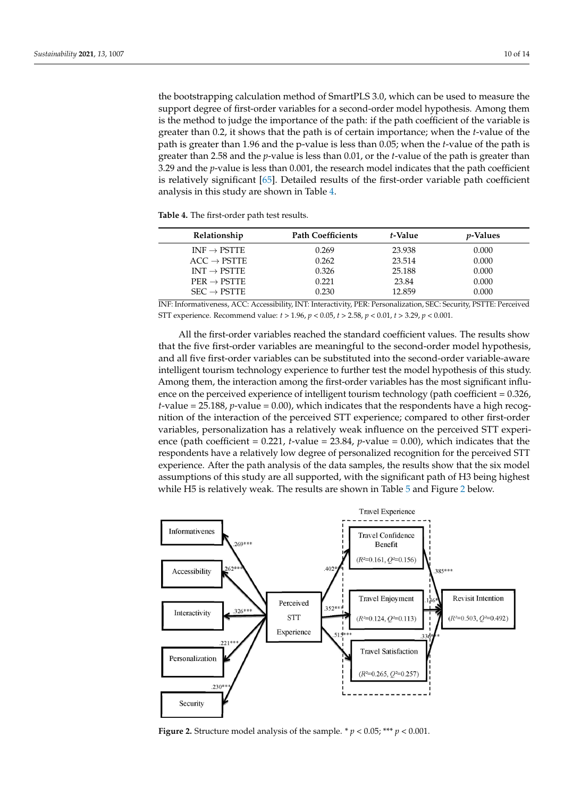the bootstrapping calculation method of SmartPLS 3.0, which can be used to measure the support degree of first-order variables for a second-order model hypothesis. Among them is the method to judge the importance of the path: if the path coefficient of the variable is greater than 0.2, it shows that the path is of certain importance; when the *t*-value of the path is greater than 1.96 and the p-value is less than 0.05; when the *t*-value of the path is greater than 2.58 and the *p*-value is less than 0.01, or the *t*-value of the path is greater than 3.29 and the *p*-value is less than 0.001, the research model indicates that the path coefficient is relatively significant [\[65\]](#page-13-21). Detailed results of the first-order variable path coefficient analysis in this study are shown in Table [4.](#page-9-0)

<span id="page-9-0"></span>**Table 4.** The first-order path test results.

| Relationship            | <b>Path Coefficients</b> | t-Value | <i>v</i> -Values |
|-------------------------|--------------------------|---------|------------------|
| $INF \rightarrow PSTTE$ | 0.269                    | 23.938  | 0.000            |
| $ACC \rightarrow PSTTE$ | 0.262                    | 23.514  | 0.000            |
| $INT \rightarrow PSTTE$ | 0.326                    | 25.188  | 0.000            |
| $PER \rightarrow PSTTE$ | 0.221                    | 23.84   | 0.000            |
| $SEC \rightarrow PSTTE$ | 0.230                    | 12.859  | 0.000            |

INF: Informativeness, ACC: Accessibility, INT: Interactivity, PER: Personalization, SEC: Security, PSTTE: Perceived STT experience. Recommend value: *t* > 1.96, *p* < 0.05, *t* > 2.58, *p* < 0.01, *t* > 3.29, *p* < 0.001.

All the first-order variables reached the standard coefficient values. The results show that the five first-order variables are meaningful to the second-order model hypothesis, and all five first-order variables can be substituted into the second-order variable-aware intelligent tourism technology experience to further test the model hypothesis of this study. Among them, the interaction among the first-order variables has the most significant influence on the perceived experience of intelligent tourism technology (path coefficient = 0.326, *t*-value = 25.188, *p*-value = 0.00), which indicates that the respondents have a high recognition of the interaction of the perceived STT experience; compared to other first-order variables, personalization has a relatively weak influence on the perceived STT experience (path coefficient  $= 0.221$ ,  $t$ -value  $= 23.84$ ,  $p$ -value  $= 0.00$ ), which indicates that the respondents have a relatively low degree of personalized recognition for the perceived STT experience. After the path analysis of the data samples, the results show that the six model assumptions of this study are all supported, with the significant path of H3 being highest while H[5](#page-10-0) is relatively weak. The results are shown in Table 5 and Figure [2](#page-9-1) below.

<span id="page-9-1"></span>

**Figure 2.** Structure model analysis of the sample.  $* p < 0.05; ** p < 0.001$ .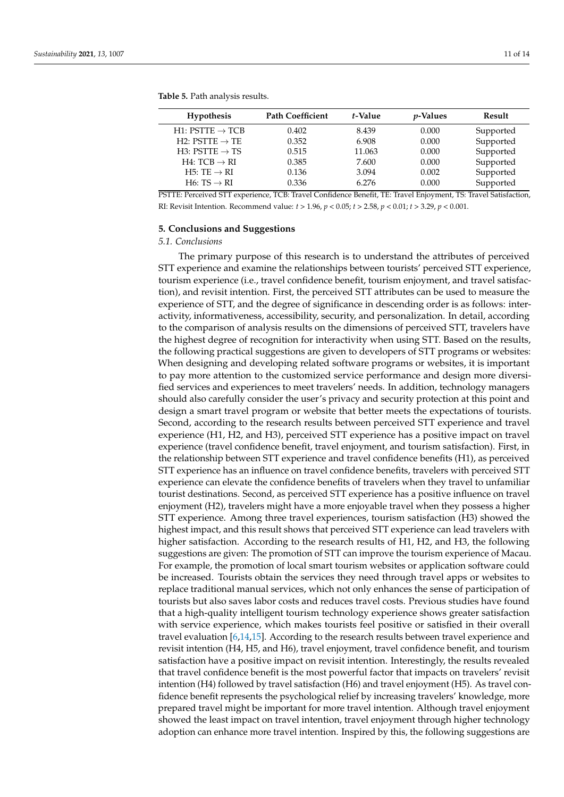| <b>Hypothesis</b>           | <b>Path Coefficient</b> | t-Value | <i>p</i> -Values | Result    |
|-----------------------------|-------------------------|---------|------------------|-----------|
| H1: $PSTTE \rightarrow TCB$ | 0.402                   | 8.439   | 0.000            | Supported |
| H2: $PSTTE \rightarrow TE$  | 0.352                   | 6.908   | 0.000            | Supported |
| H3: PSTTE $\rightarrow$ TS  | 0.515                   | 11.063  | 0.000            | Supported |
| H4: $TCB \rightarrow RI$    | 0.385                   | 7.600   | 0.000            | Supported |
| H5: TE $\rightarrow$ RI     | 0.136                   | 3.094   | 0.002            | Supported |
| $H6: TS \rightarrow RI$     | 0.336                   | 6.276   | 0.000            | Supported |

<span id="page-10-0"></span>**Table 5.** Path analysis results.

PSTTE: Perceived STT experience, TCB: Travel Confidence Benefit, TE: Travel Enjoyment, TS: Travel Satisfaction, RI: Revisit Intention. Recommend value: *t* > 1.96, *p* < 0.05; *t* > 2.58, *p* < 0.01; *t* > 3.29, *p* < 0.001.

### **5. Conclusions and Suggestions**

### *5.1. Conclusions*

The primary purpose of this research is to understand the attributes of perceived STT experience and examine the relationships between tourists' perceived STT experience, tourism experience (i.e., travel confidence benefit, tourism enjoyment, and travel satisfaction), and revisit intention. First, the perceived STT attributes can be used to measure the experience of STT, and the degree of significance in descending order is as follows: interactivity, informativeness, accessibility, security, and personalization. In detail, according to the comparison of analysis results on the dimensions of perceived STT, travelers have the highest degree of recognition for interactivity when using STT. Based on the results, the following practical suggestions are given to developers of STT programs or websites: When designing and developing related software programs or websites, it is important to pay more attention to the customized service performance and design more diversified services and experiences to meet travelers' needs. In addition, technology managers should also carefully consider the user's privacy and security protection at this point and design a smart travel program or website that better meets the expectations of tourists. Second, according to the research results between perceived STT experience and travel experience (H1, H2, and H3), perceived STT experience has a positive impact on travel experience (travel confidence benefit, travel enjoyment, and tourism satisfaction). First, in the relationship between STT experience and travel confidence benefits (H1), as perceived STT experience has an influence on travel confidence benefits, travelers with perceived STT experience can elevate the confidence benefits of travelers when they travel to unfamiliar tourist destinations. Second, as perceived STT experience has a positive influence on travel enjoyment (H2), travelers might have a more enjoyable travel when they possess a higher STT experience. Among three travel experiences, tourism satisfaction (H3) showed the highest impact, and this result shows that perceived STT experience can lead travelers with higher satisfaction. According to the research results of H1, H2, and H3, the following suggestions are given: The promotion of STT can improve the tourism experience of Macau. For example, the promotion of local smart tourism websites or application software could be increased. Tourists obtain the services they need through travel apps or websites to replace traditional manual services, which not only enhances the sense of participation of tourists but also saves labor costs and reduces travel costs. Previous studies have found that a high-quality intelligent tourism technology experience shows greater satisfaction with service experience, which makes tourists feel positive or satisfied in their overall travel evaluation [\[6](#page-11-5)[,14](#page-12-4)[,15\]](#page-12-5). According to the research results between travel experience and revisit intention (H4, H5, and H6), travel enjoyment, travel confidence benefit, and tourism satisfaction have a positive impact on revisit intention. Interestingly, the results revealed that travel confidence benefit is the most powerful factor that impacts on travelers' revisit intention (H4) followed by travel satisfaction (H6) and travel enjoyment (H5). As travel confidence benefit represents the psychological relief by increasing travelers' knowledge, more prepared travel might be important for more travel intention. Although travel enjoyment showed the least impact on travel intention, travel enjoyment through higher technology adoption can enhance more travel intention. Inspired by this, the following suggestions are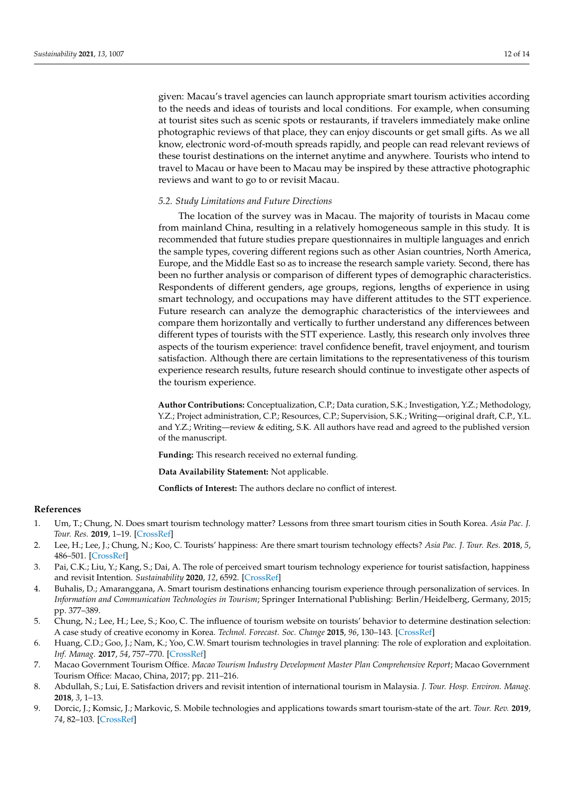given: Macau's travel agencies can launch appropriate smart tourism activities according to the needs and ideas of tourists and local conditions. For example, when consuming at tourist sites such as scenic spots or restaurants, if travelers immediately make online photographic reviews of that place, they can enjoy discounts or get small gifts. As we all know, electronic word-of-mouth spreads rapidly, and people can read relevant reviews of these tourist destinations on the internet anytime and anywhere. Tourists who intend to travel to Macau or have been to Macau may be inspired by these attractive photographic reviews and want to go to or revisit Macau.

## *5.2. Study Limitations and Future Directions*

The location of the survey was in Macau. The majority of tourists in Macau come from mainland China, resulting in a relatively homogeneous sample in this study. It is recommended that future studies prepare questionnaires in multiple languages and enrich the sample types, covering different regions such as other Asian countries, North America, Europe, and the Middle East so as to increase the research sample variety. Second, there has been no further analysis or comparison of different types of demographic characteristics. Respondents of different genders, age groups, regions, lengths of experience in using smart technology, and occupations may have different attitudes to the STT experience. Future research can analyze the demographic characteristics of the interviewees and compare them horizontally and vertically to further understand any differences between different types of tourists with the STT experience. Lastly, this research only involves three aspects of the tourism experience: travel confidence benefit, travel enjoyment, and tourism satisfaction. Although there are certain limitations to the representativeness of this tourism experience research results, future research should continue to investigate other aspects of the tourism experience.

**Author Contributions:** Conceptualization, C.P.; Data curation, S.K.; Investigation, Y.Z.; Methodology, Y.Z.; Project administration, C.P.; Resources, C.P.; Supervision, S.K.; Writing—original draft, C.P., Y.L. and Y.Z.; Writing—review & editing, S.K. All authors have read and agreed to the published version of the manuscript.

**Funding:** This research received no external funding.

**Data Availability Statement:** Not applicable.

**Conflicts of Interest:** The authors declare no conflict of interest.

### **References**

- <span id="page-11-0"></span>1. Um, T.; Chung, N. Does smart tourism technology matter? Lessons from three smart tourism cities in South Korea. *Asia Pac. J. Tour. Res.* **2019**, 1–19. [\[CrossRef\]](http://doi.org/10.1080/10941665.2019.1595691)
- <span id="page-11-1"></span>2. Lee, H.; Lee, J.; Chung, N.; Koo, C. Tourists' happiness: Are there smart tourism technology effects? *Asia Pac. J. Tour. Res.* **2018**, *5*, 486–501. [\[CrossRef\]](http://doi.org/10.1080/10941665.2018.1468344)
- <span id="page-11-2"></span>3. Pai, C.K.; Liu, Y.; Kang, S.; Dai, A. The role of perceived smart tourism technology experience for tourist satisfaction, happiness and revisit Intention. *Sustainability* **2020**, *12*, 6592. [\[CrossRef\]](http://doi.org/10.3390/su12166592)
- <span id="page-11-3"></span>4. Buhalis, D.; Amaranggana, A. Smart tourism destinations enhancing tourism experience through personalization of services. In *Information and Communication Technologies in Tourism*; Springer International Publishing: Berlin/Heidelberg, Germany, 2015; pp. 377–389.
- <span id="page-11-4"></span>5. Chung, N.; Lee, H.; Lee, S.; Koo, C. The influence of tourism website on tourists' behavior to determine destination selection: A case study of creative economy in Korea. *Technol. Forecast. Soc. Change* **2015**, *96*, 130–143. [\[CrossRef\]](http://doi.org/10.1016/j.techfore.2015.03.004)
- <span id="page-11-5"></span>6. Huang, C.D.; Goo, J.; Nam, K.; Yoo, C.W. Smart tourism technologies in travel planning: The role of exploration and exploitation. *Inf. Manag.* **2017**, *54*, 757–770. [\[CrossRef\]](http://doi.org/10.1016/j.im.2016.11.010)
- <span id="page-11-6"></span>7. Macao Government Tourism Office. *Macao Tourism Industry Development Master Plan Comprehensive Report*; Macao Government Tourism Office: Macao, China, 2017; pp. 211–216.
- <span id="page-11-7"></span>8. Abdullah, S.; Lui, E. Satisfaction drivers and revisit intention of international tourism in Malaysia. *J. Tour. Hosp. Environ. Manag.* **2018**, *3*, 1–13.
- <span id="page-11-8"></span>9. Dorcic, J.; Komsic, J.; Markovic, S. Mobile technologies and applications towards smart tourism-state of the art. *Tour. Rev.* **2019**, *74*, 82–103. [\[CrossRef\]](http://doi.org/10.1108/TR-07-2017-0121)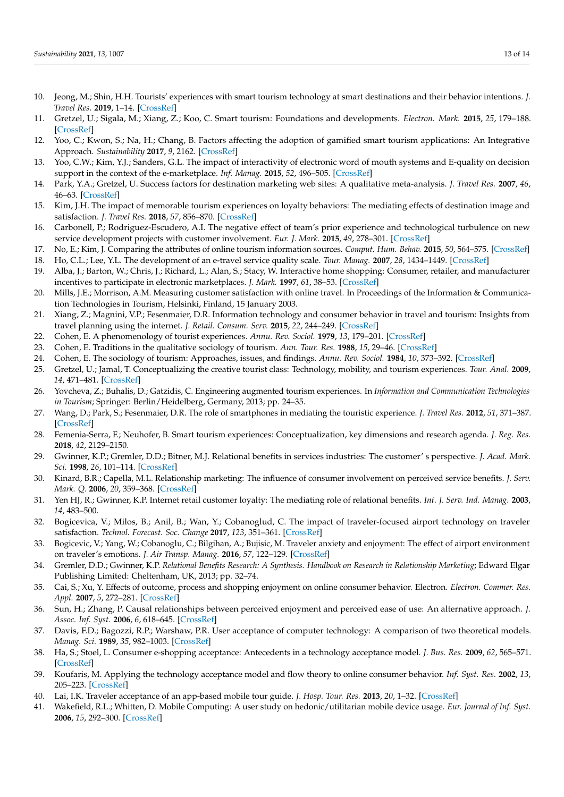- <span id="page-12-0"></span>10. Jeong, M.; Shin, H.H. Tourists' experiences with smart tourism technology at smart destinations and their behavior intentions. *J. Travel Res.* **2019**, 1–14. [\[CrossRef\]](http://doi.org/10.1177/0047287519883034)
- <span id="page-12-1"></span>11. Gretzel, U.; Sigala, M.; Xiang, Z.; Koo, C. Smart tourism: Foundations and developments. *Electron. Mark.* **2015**, *25*, 179–188. [\[CrossRef\]](http://doi.org/10.1007/s12525-015-0196-8)
- <span id="page-12-2"></span>12. Yoo, C.; Kwon, S.; Na, H.; Chang, B. Factors affecting the adoption of gamified smart tourism applications: An Integrative Approach. *Sustainability* **2017**, *9*, 2162. [\[CrossRef\]](http://doi.org/10.3390/su9122162)
- <span id="page-12-3"></span>13. Yoo, C.W.; Kim, Y.J.; Sanders, G.L. The impact of interactivity of electronic word of mouth systems and E-quality on decision support in the context of the e-marketplace. *Inf. Manag.* **2015**, *52*, 496–505. [\[CrossRef\]](http://doi.org/10.1016/j.im.2015.03.001)
- <span id="page-12-4"></span>14. Park, Y.A.; Gretzel, U. Success factors for destination marketing web sites: A qualitative meta-analysis. *J. Travel Res.* **2007**, *46*, 46–63. [\[CrossRef\]](http://doi.org/10.1177/0047287507302381)
- <span id="page-12-5"></span>15. Kim, J.H. The impact of memorable tourism experiences on loyalty behaviors: The mediating effects of destination image and satisfaction. *J. Travel Res.* **2018**, *57*, 856–870. [\[CrossRef\]](http://doi.org/10.1177/0047287517721369)
- <span id="page-12-6"></span>16. Carbonell, P.; Rodriguez-Escudero, A.I. The negative effect of team's prior experience and technological turbulence on new service development projects with customer involvement. *Eur. J. Mark.* **2015**, *49*, 278–301. [\[CrossRef\]](http://doi.org/10.1108/EJM-08-2013-0438)
- <span id="page-12-7"></span>17. No, E.; Kim, J. Comparing the attributes of online tourism information sources. *Comput. Hum. Behav.* **2015**, *50*, 564–575. [\[CrossRef\]](http://doi.org/10.1016/j.chb.2015.02.063)
- <span id="page-12-8"></span>18. Ho, C.L.; Lee, Y.L. The development of an e-travel service quality scale. *Tour. Manag.* **2007**, *28*, 1434–1449. [\[CrossRef\]](http://doi.org/10.1016/j.tourman.2006.12.002)
- <span id="page-12-9"></span>19. Alba, J.; Barton, W.; Chris, J.; Richard, L.; Alan, S.; Stacy, W. Interactive home shopping: Consumer, retailer, and manufacturer incentives to participate in electronic marketplaces. *J. Mark.* **1997**, *61*, 38–53. [\[CrossRef\]](http://doi.org/10.1177/002224299706100303)
- <span id="page-12-10"></span>20. Mills, J.E.; Morrison, A.M. Measuring customer satisfaction with online travel. In Proceedings of the Information & Communication Technologies in Tourism, Helsinki, Finland, 15 January 2003.
- <span id="page-12-11"></span>21. Xiang, Z.; Magnini, V.P.; Fesenmaier, D.R. Information technology and consumer behavior in travel and tourism: Insights from travel planning using the internet. *J. Retail. Consum. Serv.* **2015**, *22*, 244–249. [\[CrossRef\]](http://doi.org/10.1016/j.jretconser.2014.08.005)
- <span id="page-12-12"></span>22. Cohen, E. A phenomenology of tourist experiences. *Annu. Rev. Sociol.* **1979**, *13*, 179–201. [\[CrossRef\]](http://doi.org/10.1177/003803857901300203)
- <span id="page-12-13"></span>23. Cohen, E. Traditions in the qualitative sociology of tourism. *Ann. Tour. Res.* **1988**, *15*, 29–46. [\[CrossRef\]](http://doi.org/10.1016/0160-7383(88)90069-2)
- <span id="page-12-14"></span>24. Cohen, E. The sociology of tourism: Approaches, issues, and findings. *Annu. Rev. Sociol.* **1984**, *10*, 373–392. [\[CrossRef\]](http://doi.org/10.1146/annurev.so.10.080184.002105)
- <span id="page-12-15"></span>25. Gretzel, U.; Jamal, T. Conceptualizing the creative tourist class: Technology, mobility, and tourism experiences. *Tour. Anal.* **2009**, *14*, 471–481. [\[CrossRef\]](http://doi.org/10.3727/108354209X12596287114219)
- <span id="page-12-16"></span>26. Yovcheva, Z.; Buhalis, D.; Gatzidis, C. Engineering augmented tourism experiences. In *Information and Communication Technologies in Tourism*; Springer: Berlin/Heidelberg, Germany, 2013; pp. 24–35.
- <span id="page-12-17"></span>27. Wang, D.; Park, S.; Fesenmaier, D.R. The role of smartphones in mediating the touristic experience. *J. Travel Res.* **2012**, *51*, 371–387. [\[CrossRef\]](http://doi.org/10.1177/0047287511426341)
- <span id="page-12-18"></span>28. Femenia-Serra, F.; Neuhofer, B. Smart tourism experiences: Conceptualization, key dimensions and research agenda. *J. Reg. Res.* **2018**, *42*, 2129–2150.
- <span id="page-12-19"></span>29. Gwinner, K.P.; Gremler, D.D.; Bitner, M.J. Relational benefits in services industries: The customer' s perspective. *J. Acad. Mark. Sci.* **1998**, *26*, 101–114. [\[CrossRef\]](http://doi.org/10.1177/0092070398262002)
- 30. Kinard, B.R.; Capella, M.L. Relationship marketing: The influence of consumer involvement on perceived service benefits. *J. Serv. Mark. Q.* **2006**, *20*, 359–368. [\[CrossRef\]](http://doi.org/10.1108/08876040610691257)
- <span id="page-12-20"></span>31. Yen HJ, R.; Gwinner, K.P. Internet retail customer loyalty: The mediating role of relational benefits. *Int. J. Serv. Ind. Manag.* **2003**, *14*, 483–500.
- <span id="page-12-21"></span>32. Bogicevica, V.; Milos, B.; Anil, B.; Wan, Y.; Cobanoglud, C. The impact of traveler-focused airport technology on traveler satisfaction. *Technol. Forecast. Soc. Change* **2017**, *123*, 351–361. [\[CrossRef\]](http://doi.org/10.1016/j.techfore.2017.03.038)
- <span id="page-12-30"></span>33. Bogicevic, V.; Yang, W.; Cobanoglu, C.; Bilgihan, A.; Bujisic, M. Traveler anxiety and enjoyment: The effect of airport environment on traveler's emotions. *J. Air Transp. Manag.* **2016**, *57*, 122–129. [\[CrossRef\]](http://doi.org/10.1016/j.jairtraman.2016.07.019)
- <span id="page-12-22"></span>34. Gremler, D.D.; Gwinner, K.P. *Relational Benefits Research: A Synthesis. Handbook on Research in Relationship Marketing*; Edward Elgar Publishing Limited: Cheltenham, UK, 2013; pp. 32–74.
- <span id="page-12-23"></span>35. Cai, S.; Xu, Y. Effects of outcome, process and shopping enjoyment on online consumer behavior. Electron. *Electron. Commer. Res. Appl.* **2007**, *5*, 272–281. [\[CrossRef\]](http://doi.org/10.1016/j.elerap.2006.04.004)
- <span id="page-12-24"></span>36. Sun, H.; Zhang, P. Causal relationships between perceived enjoyment and perceived ease of use: An alternative approach. *J. Assoc. Inf. Syst.* **2006**, *6*, 618–645. [\[CrossRef\]](http://doi.org/10.17705/1jais.00100)
- <span id="page-12-25"></span>37. Davis, F.D.; Bagozzi, R.P.; Warshaw, P.R. User acceptance of computer technology: A comparison of two theoretical models. *Manag. Sci.* **1989**, *35*, 982–1003. [\[CrossRef\]](http://doi.org/10.1287/mnsc.35.8.982)
- <span id="page-12-26"></span>38. Ha, S.; Stoel, L. Consumer e-shopping acceptance: Antecedents in a technology acceptance model. *J. Bus. Res.* **2009**, *62*, 565–571. [\[CrossRef\]](http://doi.org/10.1016/j.jbusres.2008.06.016)
- <span id="page-12-27"></span>39. Koufaris, M. Applying the technology acceptance model and flow theory to online consumer behavior. *Inf. Syst. Res.* **2002**, *13*, 205–223. [\[CrossRef\]](http://doi.org/10.1287/isre.13.2.205.83)
- <span id="page-12-28"></span>40. Lai, I.K. Traveler acceptance of an app-based mobile tour guide. *J. Hosp. Tour. Res.* **2013**, *20*, 1–32. [\[CrossRef\]](http://doi.org/10.1177/1096348013491596)
- <span id="page-12-29"></span>41. Wakefield, R.L.; Whitten, D. Mobile Computing: A user study on hedonic/utilitarian mobile device usage. *Eur. Journal of Inf. Syst.* **2006**, *15*, 292–300. [\[CrossRef\]](http://doi.org/10.1057/palgrave.ejis.3000619)